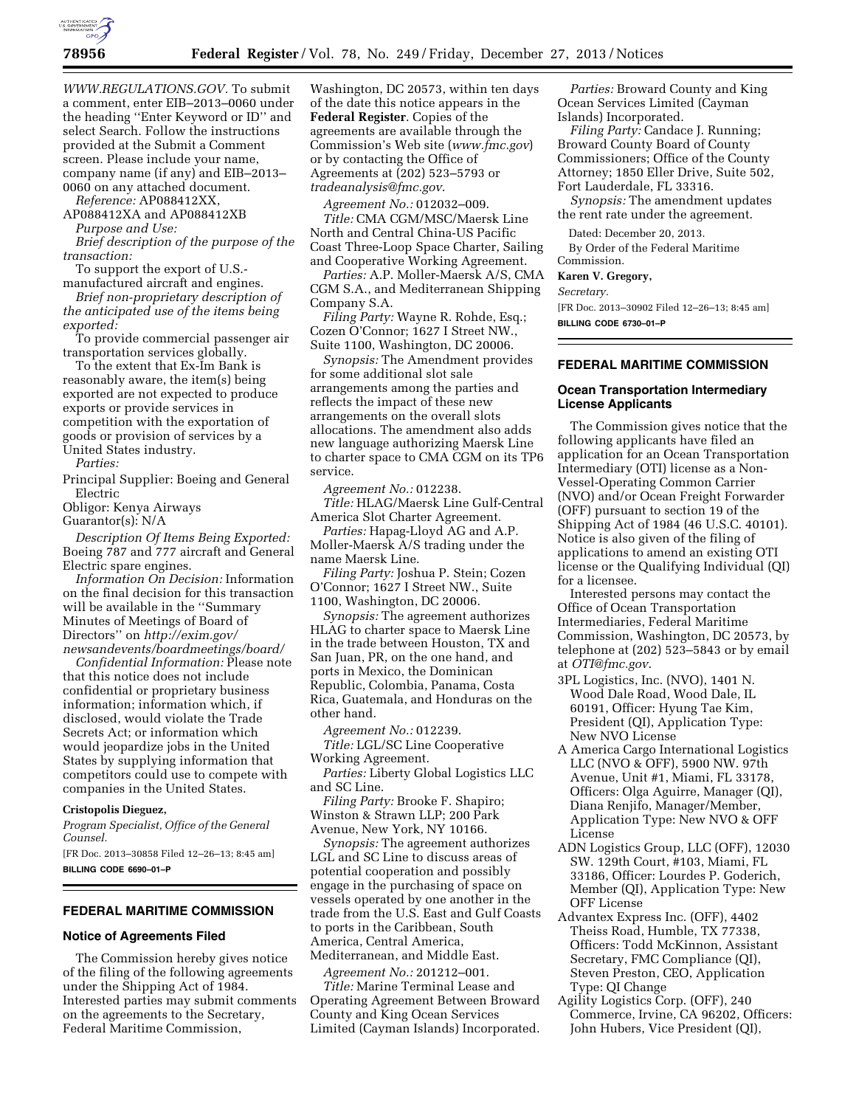

*[WWW.REGULATIONS.GOV.](http://WWW.REGULATIONS.GOV)* To submit a comment, enter EIB–2013–0060 under the heading ''Enter Keyword or ID'' and select Search. Follow the instructions provided at the Submit a Comment screen. Please include your name, company name (if any) and EIB–2013– 0060 on any attached document.

*Reference:* AP088412XX,

AP088412XA and AP088412XB *Purpose and Use:* 

*Brief description of the purpose of the transaction:* 

To support the export of U.S.-

manufactured aircraft and engines. *Brief non-proprietary description of the anticipated use of the items being exported:* 

To provide commercial passenger air transportation services globally.

To the extent that Ex-Im Bank is reasonably aware, the item(s) being exported are not expected to produce exports or provide services in competition with the exportation of goods or provision of services by a United States industry.

*Parties:* 

Principal Supplier: Boeing and General Electric

Obligor: Kenya Airways

Guarantor(s): N/A

*Description Of Items Being Exported:*  Boeing 787 and 777 aircraft and General Electric spare engines.

*Information On Decision:* Information on the final decision for this transaction will be available in the ''Summary Minutes of Meetings of Board of Directors'' on *[http://exim.gov/](http://exim.gov/newsandevents/boardmeetings/board/) [newsandevents/boardmeetings/board/](http://exim.gov/newsandevents/boardmeetings/board/)* 

*Confidential Information:* Please note that this notice does not include confidential or proprietary business information; information which, if disclosed, would violate the Trade Secrets Act; or information which would jeopardize jobs in the United States by supplying information that competitors could use to compete with companies in the United States.

### **Cristopolis Dieguez,**

*Program Specialist, Office of the General Counsel.* 

[FR Doc. 2013–30858 Filed 12–26–13; 8:45 am] **BILLING CODE 6690–01–P** 

### **FEDERAL MARITIME COMMISSION**

### **Notice of Agreements Filed**

The Commission hereby gives notice of the filing of the following agreements under the Shipping Act of 1984. Interested parties may submit comments on the agreements to the Secretary, Federal Maritime Commission,

Washington, DC 20573, within ten days of the date this notice appears in the **Federal Register**. Copies of the agreements are available through the Commission's Web site (*[www.fmc.gov](http://www.fmc.gov)*) or by contacting the Office of Agreements at (202) 523–5793 or *[tradeanalysis@fmc.gov](mailto:tradeanalysis@fmc.gov)*.

*Agreement No.:* 012032–009.

*Title:* CMA CGM/MSC/Maersk Line North and Central China-US Pacific Coast Three-Loop Space Charter, Sailing and Cooperative Working Agreement.

*Parties:* A.P. Moller-Maersk A/S, CMA CGM S.A., and Mediterranean Shipping Company S.A.

*Filing Party:* Wayne R. Rohde, Esq.; Cozen O'Connor; 1627 I Street NW., Suite 1100, Washington, DC 20006.

*Synopsis:* The Amendment provides for some additional slot sale arrangements among the parties and reflects the impact of these new arrangements on the overall slots allocations. The amendment also adds new language authorizing Maersk Line to charter space to CMA CGM on its TP6 service.

*Agreement No.:* 012238. *Title:* HLAG/Maersk Line Gulf-Central America Slot Charter Agreement.

*Parties:* Hapag-Lloyd AG and A.P. Moller-Maersk A/S trading under the name Maersk Line.

*Filing Party:* Joshua P. Stein; Cozen O'Connor; 1627 I Street NW., Suite 1100, Washington, DC 20006.

*Synopsis:* The agreement authorizes HLAG to charter space to Maersk Line in the trade between Houston, TX and San Juan, PR, on the one hand, and ports in Mexico, the Dominican Republic, Colombia, Panama, Costa Rica, Guatemala, and Honduras on the other hand.

*Agreement No.:* 012239.

*Title:* LGL/SC Line Cooperative Working Agreement.

*Parties:* Liberty Global Logistics LLC and SC Line.

*Filing Party:* Brooke F. Shapiro; Winston & Strawn LLP; 200 Park Avenue, New York, NY 10166.

*Synopsis:* The agreement authorizes LGL and SC Line to discuss areas of potential cooperation and possibly engage in the purchasing of space on vessels operated by one another in the trade from the U.S. East and Gulf Coasts to ports in the Caribbean, South America, Central America, Mediterranean, and Middle East.

*Agreement No.:* 201212–001. *Title:* Marine Terminal Lease and Operating Agreement Between Broward County and King Ocean Services Limited (Cayman Islands) Incorporated.

*Parties:* Broward County and King Ocean Services Limited (Cayman Islands) Incorporated.

*Filing Party:* Candace J. Running; Broward County Board of County Commissioners; Office of the County Attorney; 1850 Eller Drive, Suite 502, Fort Lauderdale, FL 33316.

*Synopsis:* The amendment updates the rent rate under the agreement.

Dated: December 20, 2013.

By Order of the Federal Maritime Commission.

**Karen V. Gregory,** 

#### *Secretary.*

[FR Doc. 2013–30902 Filed 12–26–13; 8:45 am] **BILLING CODE 6730–01–P** 

#### **FEDERAL MARITIME COMMISSION**

### **Ocean Transportation Intermediary License Applicants**

The Commission gives notice that the following applicants have filed an application for an Ocean Transportation Intermediary (OTI) license as a Non-Vessel-Operating Common Carrier (NVO) and/or Ocean Freight Forwarder (OFF) pursuant to section 19 of the Shipping Act of 1984 (46 U.S.C. 40101). Notice is also given of the filing of applications to amend an existing OTI license or the Qualifying Individual (QI) for a licensee.

Interested persons may contact the Office of Ocean Transportation Intermediaries, Federal Maritime Commission, Washington, DC 20573, by telephone at (202) 523–5843 or by email at *[OTI@fmc.gov](mailto:OTI@fmc.gov)*.

- 3PL Logistics, Inc. (NVO), 1401 N. Wood Dale Road, Wood Dale, IL 60191, Officer: Hyung Tae Kim, President (QI), Application Type: New NVO License
- A America Cargo International Logistics LLC (NVO & OFF), 5900 NW. 97th Avenue, Unit #1, Miami, FL 33178, Officers: Olga Aguirre, Manager (QI), Diana Renjifo, Manager/Member, Application Type: New NVO & OFF License
- ADN Logistics Group, LLC (OFF), 12030 SW. 129th Court, #103, Miami, FL 33186, Officer: Lourdes P. Goderich, Member (QI), Application Type: New OFF License
- Advantex Express Inc. (OFF), 4402 Theiss Road, Humble, TX 77338, Officers: Todd McKinnon, Assistant Secretary, FMC Compliance (QI), Steven Preston, CEO, Application Type: QI Change
- Agility Logistics Corp. (OFF), 240 Commerce, Irvine, CA 96202, Officers: John Hubers, Vice President (QI),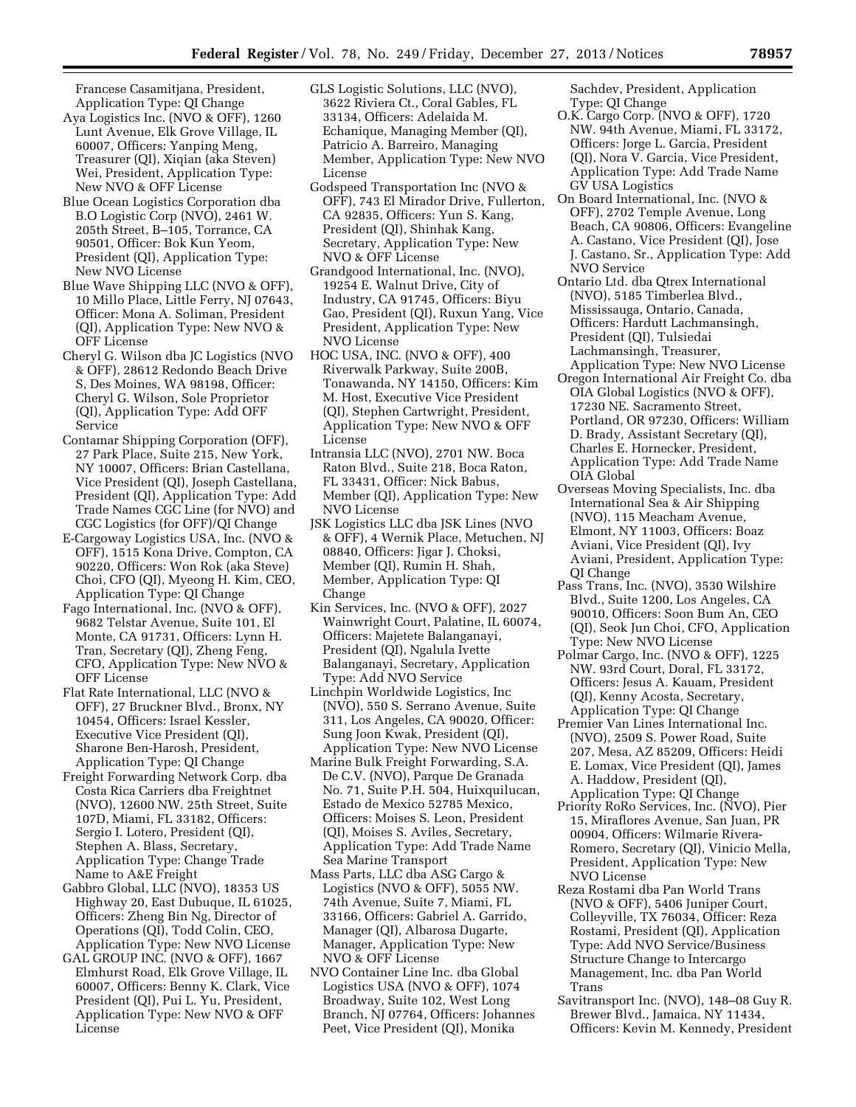Francese Casamitjana, President, Application Type: QI Change

- Aya Logistics Inc. (NVO & OFF), 1260 Lunt Avenue, Elk Grove Village, IL 60007, Officers: Yanping Meng, Treasurer (QI), Xiqian (aka Steven) Wei, President, Application Type: New NVO & OFF License
- Blue Ocean Logistics Corporation dba B.O Logistic Corp (NVO), 2461 W. 205th Street, B–105, Torrance, CA 90501, Officer: Bok Kun Yeom, President (QI), Application Type: New NVO License
- Blue Wave Shipping LLC (NVO & OFF), 10 Millo Place, Little Ferry, NJ 07643, Officer: Mona A. Soliman, President (QI), Application Type: New NVO & OFF License
- Cheryl G. Wilson dba JC Logistics (NVO & OFF), 28612 Redondo Beach Drive S, Des Moines, WA 98198, Officer: Cheryl G. Wilson, Sole Proprietor (QI), Application Type: Add OFF Service
- Contamar Shipping Corporation (OFF), 27 Park Place, Suite 215, New York, NY 10007, Officers: Brian Castellana, Vice President (QI), Joseph Castellana, President (QI), Application Type: Add Trade Names CGC Line (for NVO) and CGC Logistics (for OFF)/QI Change
- E-Cargoway Logistics USA, Inc. (NVO & OFF), 1515 Kona Drive, Compton, CA 90220, Officers: Won Rok (aka Steve) Choi, CFO (QI), Myeong H. Kim, CEO, Application Type: QI Change
- Fago International, Inc. (NVO & OFF), 9682 Telstar Avenue, Suite 101, El Monte, CA 91731, Officers: Lynn H. Tran, Secretary (QI), Zheng Feng, CFO, Application Type: New NVO & OFF License
- Flat Rate International, LLC (NVO & OFF), 27 Bruckner Blvd., Bronx, NY 10454, Officers: Israel Kessler, Executive Vice President (QI), Sharone Ben-Harosh, President, Application Type: QI Change
- Freight Forwarding Network Corp. dba Costa Rica Carriers dba Freightnet (NVO), 12600 NW. 25th Street, Suite 107D, Miami, FL 33182, Officers: Sergio I. Lotero, President (QI), Stephen A. Blass, Secretary, Application Type: Change Trade Name to A&E Freight
- Gabbro Global, LLC (NVO), 18353 US Highway 20, East Dubuque, IL 61025, Officers: Zheng Bin Ng, Director of Operations (QI), Todd Colin, CEO, Application Type: New NVO License
- GAL GROUP INC. (NVO & OFF), 1667 Elmhurst Road, Elk Grove Village, IL 60007, Officers: Benny K. Clark, Vice President (QI), Pui L. Yu, President, Application Type: New NVO & OFF License
- GLS Logistic Solutions, LLC (NVO), 3622 Riviera Ct., Coral Gables, FL 33134, Officers: Adelaida M. Echanique, Managing Member (QI), Patricio A. Barreiro, Managing Member, Application Type: New NVO License
- Godspeed Transportation Inc (NVO & OFF), 743 El Mirador Drive, Fullerton, CA 92835, Officers: Yun S. Kang, President (QI), Shinhak Kang, Secretary, Application Type: New NVO & OFF License
- Grandgood International, Inc. (NVO), 19254 E. Walnut Drive, City of Industry, CA 91745, Officers: Biyu Gao, President (QI), Ruxun Yang, Vice President, Application Type: New NVO License
- HOC USA, INC. (NVO & OFF), 400 Riverwalk Parkway, Suite 200B, Tonawanda, NY 14150, Officers: Kim M. Host, Executive Vice President (QI), Stephen Cartwright, President, Application Type: New NVO & OFF License
- Intransia LLC (NVO), 2701 NW. Boca Raton Blvd., Suite 218, Boca Raton, FL 33431, Officer: Nick Babus, Member (QI), Application Type: New NVO License
- JSK Logistics LLC dba JSK Lines (NVO & OFF), 4 Wernik Place, Metuchen, NJ 08840, Officers: Jigar J. Choksi, Member (QI), Rumin H. Shah, Member, Application Type: QI Change
- Kin Services, Inc. (NVO & OFF), 2027 Wainwright Court, Palatine, IL 60074, Officers: Majetete Balanganayi, President (QI), Ngalula Ivette Balanganayi, Secretary, Application Type: Add NVO Service
- Linchpin Worldwide Logistics, Inc (NVO), 550 S. Serrano Avenue, Suite 311, Los Angeles, CA 90020, Officer: Sung Joon Kwak, President (QI), Application Type: New NVO License
- Marine Bulk Freight Forwarding, S.A. De C.V. (NVO), Parque De Granada No. 71, Suite P.H. 504, Huixquilucan, Estado de Mexico 52785 Mexico, Officers: Moises S. Leon, President (QI), Moises S. Aviles, Secretary, Application Type: Add Trade Name Sea Marine Transport
- Mass Parts, LLC dba ASG Cargo & Logistics (NVO & OFF), 5055 NW. 74th Avenue, Suite 7, Miami, FL 33166, Officers: Gabriel A. Garrido, Manager (QI), Albarosa Dugarte, Manager, Application Type: New NVO & OFF License
- NVO Container Line Inc. dba Global Logistics USA (NVO & OFF), 1074 Broadway, Suite 102, West Long Branch, NJ 07764, Officers: Johannes Peet, Vice President (QI), Monika

Sachdev, President, Application Type: QI Change

- O.K. Cargo Corp. (NVO & OFF), 1720 NW. 94th Avenue, Miami, FL 33172, Officers: Jorge L. Garcia, President (QI), Nora V. Garcia, Vice President, Application Type: Add Trade Name GV USA Logistics
- On Board International, Inc. (NVO & OFF), 2702 Temple Avenue, Long Beach, CA 90806, Officers: Evangeline A. Castano, Vice President (QI), Jose J. Castano, Sr., Application Type: Add NVO Service
- Ontario Ltd. dba Qtrex International (NVO), 5185 Timberlea Blvd., Mississauga, Ontario, Canada, Officers: Hardutt Lachmansingh, President (QI), Tulsiedai Lachmansingh, Treasurer, Application Type: New NVO License
- Oregon International Air Freight Co. dba OIA Global Logistics (NVO & OFF), 17230 NE. Sacramento Street, Portland, OR 97230, Officers: William D. Brady, Assistant Secretary (QI), Charles E. Hornecker, President, Application Type: Add Trade Name OIA Global
- Overseas Moving Specialists, Inc. dba International Sea & Air Shipping (NVO), 115 Meacham Avenue, Elmont, NY 11003, Officers: Boaz Aviani, Vice President (QI), Ivy Aviani, President, Application Type: QI Change
- Pass Trans, Inc. (NVO), 3530 Wilshire Blvd., Suite 1200, Los Angeles, CA 90010, Officers: Soon Bum An, CEO (QI), Seok Jun Choi, CFO, Application Type: New NVO License
- Polmar Cargo, Inc. (NVO & OFF), 1225 NW. 93rd Court, Doral, FL 33172, Officers: Jesus A. Kauam, President (QI), Kenny Acosta, Secretary, Application Type: QI Change
- Premier Van Lines International Inc. (NVO), 2509 S. Power Road, Suite 207, Mesa, AZ 85209, Officers: Heidi E. Lomax, Vice President (QI), James A. Haddow, President (QI), Application Type: QI Change
- Priority RoRo Services, Inc. (NVO), Pier 15, Miraflores Avenue, San Juan, PR 00904, Officers: Wilmarie Rivera-Romero, Secretary (QI), Vinicio Mella, President, Application Type: New NVO License
- Reza Rostami dba Pan World Trans (NVO & OFF), 5406 Juniper Court, Colleyville, TX 76034, Officer: Reza Rostami, President (QI), Application Type: Add NVO Service/Business Structure Change to Intercargo Management, Inc. dba Pan World Trans
- Savitransport Inc. (NVO), 148–08 Guy R. Brewer Blvd., Jamaica, NY 11434, Officers: Kevin M. Kennedy, President